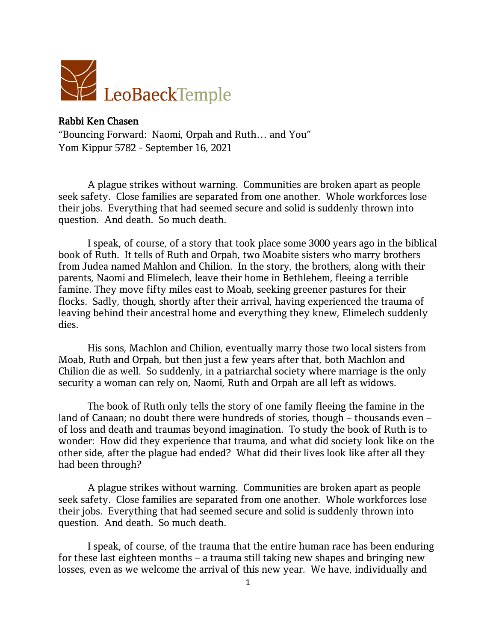

## Rabbi Ken Chasen

"Bouncing Forward: Naomi, Orpah and Ruth… and You" Yom Kippur 5782 - September 16, 2021

A plague strikes without warning. Communities are broken apart as people seek safety. Close families are separated from one another. Whole workforces lose their jobs. Everything that had seemed secure and solid is suddenly thrown into question. And death. So much death.

I speak, of course, of a story that took place some 3000 years ago in the biblical book of Ruth. It tells of Ruth and Orpah, two Moabite sisters who marry brothers from Judea named Mahlon and Chilion. In the story, the brothers, along with their parents, Naomi and Elimelech, leave their home in Bethlehem, fleeing a terrible famine. They move fifty miles east to Moab, seeking greener pastures for their flocks. Sadly, though, shortly after their arrival, having experienced the trauma of leaving behind their ancestral home and everything they knew, Elimelech suddenly dies.

His sons, Machlon and Chilion, eventually marry those two local sisters from Moab, Ruth and Orpah, but then just a few years after that, both Machlon and Chilion die as well. So suddenly, in a patriarchal society where marriage is the only security a woman can rely on, Naomi, Ruth and Orpah are all left as widows.

The book of Ruth only tells the story of one family fleeing the famine in the land of Canaan; no doubt there were hundreds of stories, though – thousands even – of loss and death and traumas beyond imagination. To study the book of Ruth is to wonder: How did they experience that trauma, and what did society look like on the other side, after the plague had ended? What did their lives look like after all they had been through?

A plague strikes without warning. Communities are broken apart as people seek safety. Close families are separated from one another. Whole workforces lose their jobs. Everything that had seemed secure and solid is suddenly thrown into question. And death. So much death.

I speak, of course, of the trauma that the entire human race has been enduring for these last eighteen months – a trauma still taking new shapes and bringing new losses, even as we welcome the arrival of this new year. We have, individually and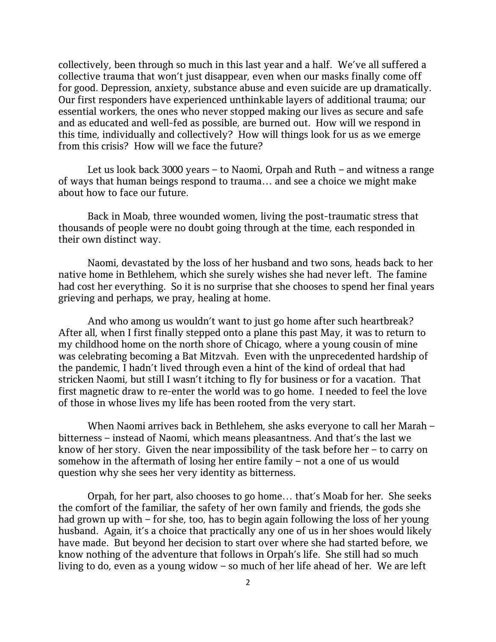collectively, been through so much in this last year and a half. We've all suffered a collective trauma that won't just disappear, even when our masks finally come off for good. Depression, anxiety, substance abuse and even suicide are up dramatically. Our first responders have experienced unthinkable layers of additional trauma; our essential workers, the ones who never stopped making our lives as secure and safe and as educated and well-fed as possible, are burned out. How will we respond in this time, individually and collectively? How will things look for us as we emerge from this crisis? How will we face the future?

Let us look back 3000 years – to Naomi, Orpah and Ruth – and witness a range of ways that human beings respond to trauma… and see a choice we might make about how to face our future.

Back in Moab, three wounded women, living the post-traumatic stress that thousands of people were no doubt going through at the time, each responded in their own distinct way.

Naomi, devastated by the loss of her husband and two sons, heads back to her native home in Bethlehem, which she surely wishes she had never left. The famine had cost her everything. So it is no surprise that she chooses to spend her final years grieving and perhaps, we pray, healing at home.

And who among us wouldn't want to just go home after such heartbreak? After all, when I first finally stepped onto a plane this past May, it was to return to my childhood home on the north shore of Chicago, where a young cousin of mine was celebrating becoming a Bat Mitzvah. Even with the unprecedented hardship of the pandemic, I hadn't lived through even a hint of the kind of ordeal that had stricken Naomi, but still I wasn't itching to fly for business or for a vacation. That first magnetic draw to re-enter the world was to go home. I needed to feel the love of those in whose lives my life has been rooted from the very start.

When Naomi arrives back in Bethlehem, she asks everyone to call her Marah – bitterness – instead of Naomi, which means pleasantness. And that's the last we know of her story. Given the near impossibility of the task before her – to carry on somehow in the aftermath of losing her entire family – not a one of us would question why she sees her very identity as bitterness.

Orpah, for her part, also chooses to go home… that's Moab for her. She seeks the comfort of the familiar, the safety of her own family and friends, the gods she had grown up with – for she, too, has to begin again following the loss of her young husband. Again, it's a choice that practically any one of us in her shoes would likely have made. But beyond her decision to start over where she had started before, we know nothing of the adventure that follows in Orpah's life. She still had so much living to do, even as a young widow – so much of her life ahead of her. We are left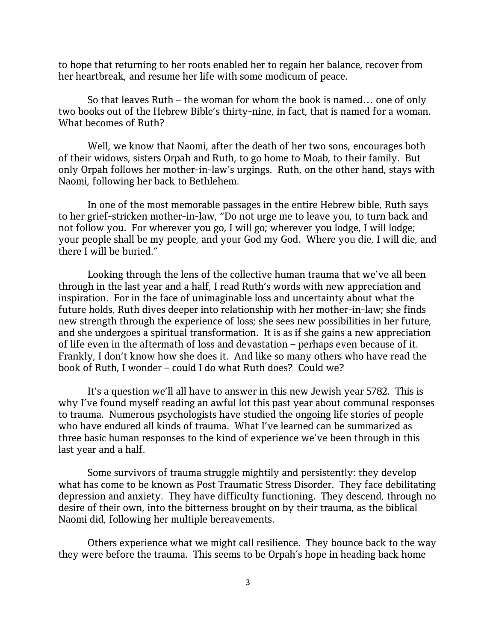to hope that returning to her roots enabled her to regain her balance, recover from her heartbreak, and resume her life with some modicum of peace.

So that leaves Ruth – the woman for whom the book is named… one of only two books out of the Hebrew Bible's thirty-nine, in fact, that is named for a woman. What becomes of Ruth?

Well, we know that Naomi, after the death of her two sons, encourages both of their widows, sisters Orpah and Ruth, to go home to Moab, to their family. But only Orpah follows her mother-in-law's urgings. Ruth, on the other hand, stays with Naomi, following her back to Bethlehem.

In one of the most memorable passages in the entire Hebrew bible, Ruth says to her grief-stricken mother-in-law, "Do not urge me to leave you, to turn back and not follow you. For wherever you go, I will go; wherever you lodge, I will lodge; your people shall be my people, and your God my God. Where you die, I will die, and there I will be buried."

Looking through the lens of the collective human trauma that we've all been through in the last year and a half, I read Ruth's words with new appreciation and inspiration. For in the face of unimaginable loss and uncertainty about what the future holds, Ruth dives deeper into relationship with her mother-in-law; she finds new strength through the experience of loss; she sees new possibilities in her future, and she undergoes a spiritual transformation. It is as if she gains a new appreciation of life even in the aftermath of loss and devastation – perhaps even because of it. Frankly, I don't know how she does it. And like so many others who have read the book of Ruth, I wonder – could I do what Ruth does? Could we?

It's a question we'll all have to answer in this new Jewish year 5782. This is why I've found myself reading an awful lot this past year about communal responses to trauma. Numerous psychologists have studied the ongoing life stories of people who have endured all kinds of trauma. What I've learned can be summarized as three basic human responses to the kind of experience we've been through in this last year and a half.

Some survivors of trauma struggle mightily and persistently: they develop what has come to be known as Post Traumatic Stress Disorder. They face debilitating depression and anxiety. They have difficulty functioning. They descend, through no desire of their own, into the bitterness brought on by their trauma, as the biblical Naomi did, following her multiple bereavements.

Others experience what we might call resilience. They bounce back to the way they were before the trauma. This seems to be Orpah's hope in heading back home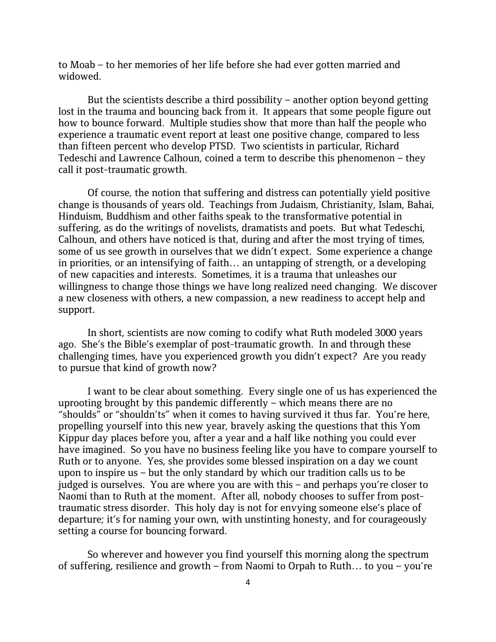to Moab – to her memories of her life before she had ever gotten married and widowed.

But the scientists describe a third possibility – another option beyond getting lost in the trauma and bouncing back from it. It appears that some people figure out how to bounce forward. Multiple studies show that more than half the people who experience a traumatic event report at least one positive change, compared to less than fifteen percent who develop PTSD. Two scientists in particular, Richard Tedeschi and Lawrence Calhoun, coined a term to describe this phenomenon – they call it post-traumatic growth.

Of course, the notion that suffering and distress can potentially yield positive change is thousands of years old. Teachings from Judaism, Christianity, Islam, Bahai, Hinduism, Buddhism and other faiths speak to the transformative potential in suffering, as do the writings of novelists, dramatists and poets. But what Tedeschi, Calhoun, and others have noticed is that, during and after the most trying of times, some of us see growth in ourselves that we didn't expect. Some experience a change in priorities, or an intensifying of faith… an untapping of strength, or a developing of new capacities and interests. Sometimes, it is a trauma that unleashes our willingness to change those things we have long realized need changing. We discover a new closeness with others, a new compassion, a new readiness to accept help and support.

In short, scientists are now coming to codify what Ruth modeled 3000 years ago. She's the Bible's exemplar of post-traumatic growth. In and through these challenging times, have you experienced growth you didn't expect? Are you ready to pursue that kind of growth now?

I want to be clear about something. Every single one of us has experienced the uprooting brought by this pandemic differently – which means there are no "shoulds" or "shouldn'ts" when it comes to having survived it thus far. You're here, propelling yourself into this new year, bravely asking the questions that this Yom Kippur day places before you, after a year and a half like nothing you could ever have imagined. So you have no business feeling like you have to compare yourself to Ruth or to anyone. Yes, she provides some blessed inspiration on a day we count upon to inspire us – but the only standard by which our tradition calls us to be judged is ourselves. You are where you are with this – and perhaps you're closer to Naomi than to Ruth at the moment. After all, nobody chooses to suffer from posttraumatic stress disorder. This holy day is not for envying someone else's place of departure; it's for naming your own, with unstinting honesty, and for courageously setting a course for bouncing forward.

So wherever and however you find yourself this morning along the spectrum of suffering, resilience and growth – from Naomi to Orpah to Ruth… to you – you're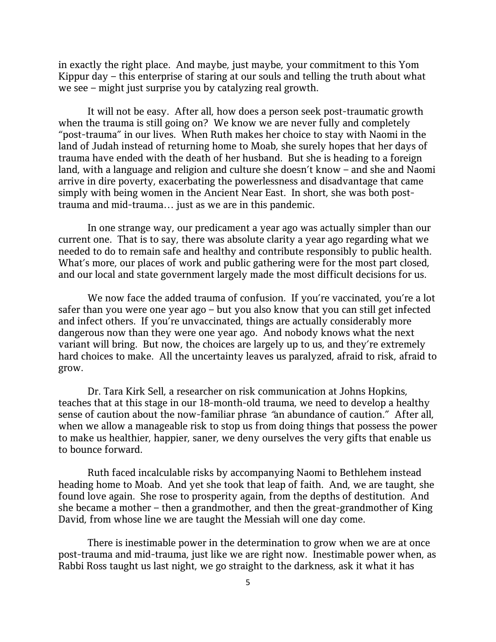in exactly the right place. And maybe, just maybe, your commitment to this Yom Kippur day – this enterprise of staring at our souls and telling the truth about what we see – might just surprise you by catalyzing real growth.

It will not be easy. After all, how does a person seek post-traumatic growth when the trauma is still going on? We know we are never fully and completely "post-trauma" in our lives. When Ruth makes her choice to stay with Naomi in the land of Judah instead of returning home to Moab, she surely hopes that her days of trauma have ended with the death of her husband. But she is heading to a foreign land, with a language and religion and culture she doesn't know – and she and Naomi arrive in dire poverty, exacerbating the powerlessness and disadvantage that came simply with being women in the Ancient Near East. In short, she was both posttrauma and mid-trauma… just as we are in this pandemic.

In one strange way, our predicament a year ago was actually simpler than our current one. That is to say, there was absolute clarity a year ago regarding what we needed to do to remain safe and healthy and contribute responsibly to public health. What's more, our places of work and public gathering were for the most part closed, and our local and state government largely made the most difficult decisions for us.

We now face the added trauma of confusion. If you're vaccinated, you're a lot safer than you were one year ago – but you also know that you can still get infected and infect others. If you're unvaccinated, things are actually considerably more dangerous now than they were one year ago. And nobody knows what the next variant will bring. But now, the choices are largely up to us, and they're extremely hard choices to make. All the uncertainty leaves us paralyzed, afraid to risk, afraid to grow.

Dr. Tara Kirk Sell, a researcher on risk communication at Johns Hopkins, teaches that at this stage in our 18-month-old trauma, we need to develop a healthy sense of caution about the now-familiar phrase "an abundance of caution." After all, when we allow a manageable risk to stop us from doing things that possess the power to make us healthier, happier, saner, we deny ourselves the very gifts that enable us to bounce forward.

Ruth faced incalculable risks by accompanying Naomi to Bethlehem instead heading home to Moab. And yet she took that leap of faith. And, we are taught, she found love again. She rose to prosperity again, from the depths of destitution. And she became a mother – then a grandmother, and then the great-grandmother of King David, from whose line we are taught the Messiah will one day come.

There is inestimable power in the determination to grow when we are at once post-trauma and mid-trauma, just like we are right now. Inestimable power when, as Rabbi Ross taught us last night, we go straight to the darkness, ask it what it has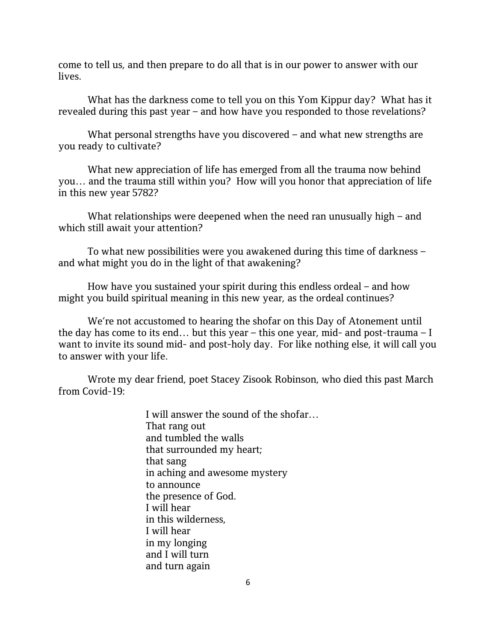come to tell us, and then prepare to do all that is in our power to answer with our lives.

What has the darkness come to tell you on this Yom Kippur day? What has it revealed during this past year – and how have you responded to those revelations?

What personal strengths have you discovered – and what new strengths are you ready to cultivate?

What new appreciation of life has emerged from all the trauma now behind you… and the trauma still within you? How will you honor that appreciation of life in this new year 5782?

What relationships were deepened when the need ran unusually high – and which still await your attention?

To what new possibilities were you awakened during this time of darkness – and what might you do in the light of that awakening?

How have you sustained your spirit during this endless ordeal – and how might you build spiritual meaning in this new year, as the ordeal continues?

We're not accustomed to hearing the shofar on this Day of Atonement until the day has come to its end… but this year – this one year, mid- and post-trauma – I want to invite its sound mid- and post-holy day. For like nothing else, it will call you to answer with your life.

Wrote my dear friend, poet Stacey Zisook Robinson, who died this past March from Covid-19:

> I will answer the sound of the shofar… That rang out and tumbled the walls that surrounded my heart; that sang in aching and awesome mystery to announce the presence of God. I will hear in this wilderness, I will hear in my longing and I will turn and turn again